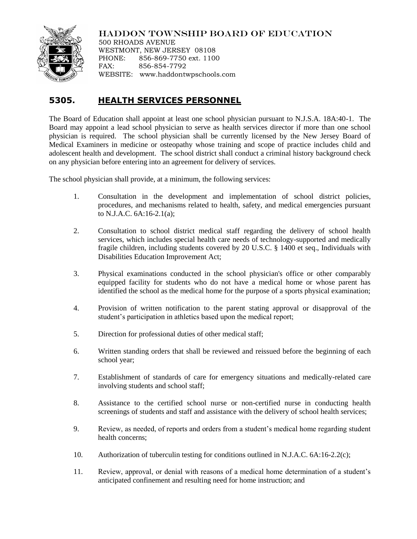

## HADDON TOWNSHIP BOARD OF EDUCATION

500 RHOADS AVENUE WESTMONT, NEW JERSEY 08108 PHONE: 856-869-7750 ext. 1100 FAX: 856-854-7792 WEBSITE: www.haddontwpschools.com

## **5305. HEALTH SERVICES PERSONNEL**

The Board of Education shall appoint at least one school physician pursuant to N.J.S.A. 18A:40-1. The Board may appoint a lead school physician to serve as health services director if more than one school physician is required. The school physician shall be currently licensed by the New Jersey Board of Medical Examiners in medicine or osteopathy whose training and scope of practice includes child and adolescent health and development. The school district shall conduct a criminal history background check on any physician before entering into an agreement for delivery of services.

The school physician shall provide, at a minimum, the following services:

- 1. Consultation in the development and implementation of school district policies, procedures, and mechanisms related to health, safety, and medical emergencies pursuant to N.J.A.C. 6A:16-2.1(a);
- 2. Consultation to school district medical staff regarding the delivery of school health services, which includes special health care needs of technology-supported and medically fragile children, including students covered by 20 U.S.C. § 1400 et seq., Individuals with Disabilities Education Improvement Act;
- 3. Physical examinations conducted in the school physician's office or other comparably equipped facility for students who do not have a medical home or whose parent has identified the school as the medical home for the purpose of a sports physical examination;
- 4. Provision of written notification to the parent stating approval or disapproval of the student's participation in athletics based upon the medical report;
- 5. Direction for professional duties of other medical staff;
- 6. Written standing orders that shall be reviewed and reissued before the beginning of each school year;
- 7. Establishment of standards of care for emergency situations and medically-related care involving students and school staff;
- 8. Assistance to the certified school nurse or non-certified nurse in conducting health screenings of students and staff and assistance with the delivery of school health services;
- 9. Review, as needed, of reports and orders from a student's medical home regarding student health concerns;
- 10. Authorization of tuberculin testing for conditions outlined in N.J.A.C. 6A:16-2.2(c);
- 11. Review, approval, or denial with reasons of a medical home determination of a student's anticipated confinement and resulting need for home instruction; and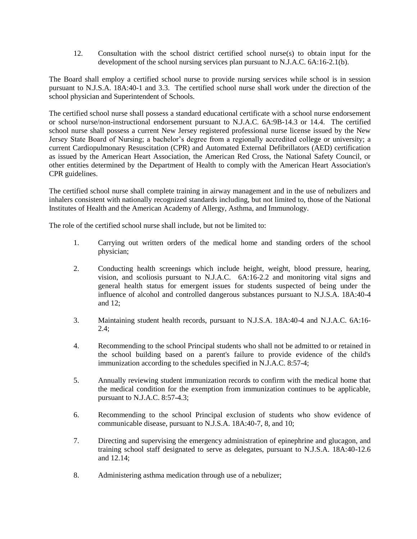12. Consultation with the school district certified school nurse(s) to obtain input for the development of the school nursing services plan pursuant to N.J.A.C. 6A:16-2.1(b).

The Board shall employ a certified school nurse to provide nursing services while school is in session pursuant to N.J.S.A. 18A:40-1 and 3.3. The certified school nurse shall work under the direction of the school physician and Superintendent of Schools.

The certified school nurse shall possess a standard educational certificate with a school nurse endorsement or school nurse/non-instructional endorsement pursuant to N.J.A.C. 6A:9B-14.3 or 14.4. The certified school nurse shall possess a current New Jersey registered professional nurse license issued by the New Jersey State Board of Nursing; a bachelor's degree from a regionally accredited college or university; a current Cardiopulmonary Resuscitation (CPR) and Automated External Defibrillators (AED) certification as issued by the American Heart Association, the American Red Cross, the National Safety Council, or other entities determined by the Department of Health to comply with the American Heart Association's CPR guidelines.

The certified school nurse shall complete training in airway management and in the use of nebulizers and inhalers consistent with nationally recognized standards including, but not limited to, those of the National Institutes of Health and the American Academy of Allergy, Asthma, and Immunology.

The role of the certified school nurse shall include, but not be limited to:

- 1. Carrying out written orders of the medical home and standing orders of the school physician;
- 2. Conducting health screenings which include height, weight, blood pressure, hearing, vision, and scoliosis pursuant to N.J.A.C. 6A:16-2.2 and monitoring vital signs and general health status for emergent issues for students suspected of being under the influence of alcohol and controlled dangerous substances pursuant to N.J.S.A. 18A:40-4 and 12;
- 3. Maintaining student health records, pursuant to N.J.S.A. 18A:40-4 and N.J.A.C. 6A:16- 2.4;
- 4. Recommending to the school Principal students who shall not be admitted to or retained in the school building based on a parent's failure to provide evidence of the child's immunization according to the schedules specified in N.J.A.C. 8:57-4;
- 5. Annually reviewing student immunization records to confirm with the medical home that the medical condition for the exemption from immunization continues to be applicable, pursuant to N.J.A.C. 8:57-4.3;
- 6. Recommending to the school Principal exclusion of students who show evidence of communicable disease, pursuant to N.J.S.A. 18A:40-7, 8, and 10;
- 7. Directing and supervising the emergency administration of epinephrine and glucagon, and training school staff designated to serve as delegates, pursuant to N.J.S.A. 18A:40-12.6 and 12.14;
- 8. Administering asthma medication through use of a nebulizer;